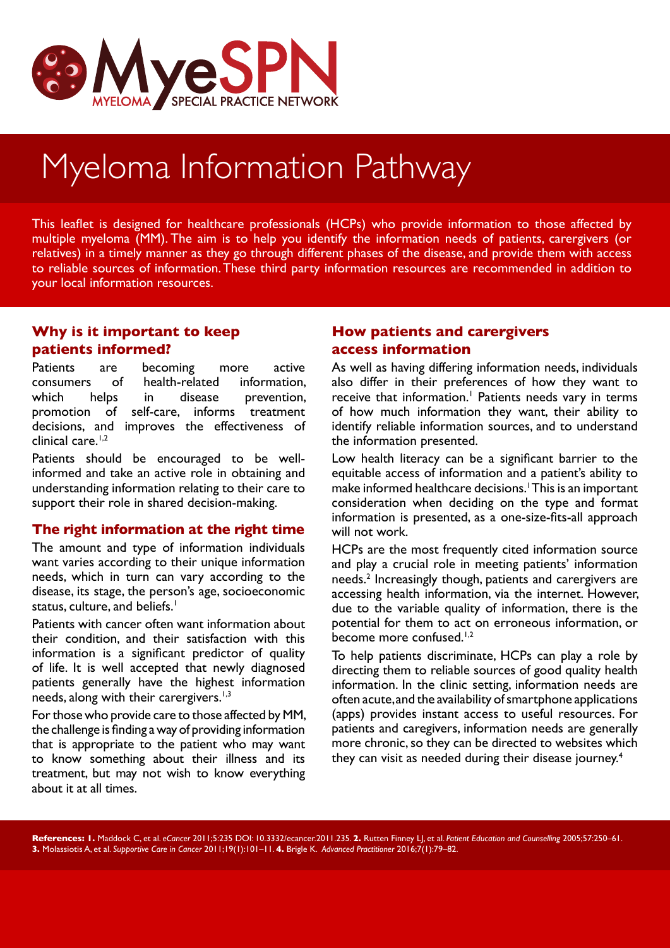

# Myeloma Information Pathway

This leaflet is designed for healthcare professionals (HCPs) who provide information to those affected by multiple myeloma (MM). The aim is to help you identify the information needs of patients, carergivers (or relatives) in a timely manner as they go through different phases of the disease, and provide them with access to reliable sources of information. These third party information resources are recommended in addition to your local information resources.

### **Why is it important to keep patients informed?**

Patients are becoming more active consumers of health-related information, which helps in disease prevention, promotion of self-care, informs treatment decisions, and improves the effectiveness of clinical care.<sup>1,2</sup>

Patients should be encouraged to be wellinformed and take an active role in obtaining and understanding information relating to their care to support their role in shared decision-making.

#### **The right information at the right time**

The amount and type of information individuals want varies according to their unique information needs, which in turn can vary according to the disease, its stage, the person's age, socioeconomic status, culture, and beliefs.<sup>1</sup>

Patients with cancer often want information about their condition, and their satisfaction with this information is a significant predictor of quality of life. It is well accepted that newly diagnosed patients generally have the highest information needs, along with their carergivers.<sup>1,3</sup>

For those who provide care to those affected by MM, the challenge is finding a way of providing information that is appropriate to the patient who may want to know something about their illness and its treatment, but may not wish to know everything about it at all times.

#### **How patients and carergivers access information**

As well as having differing information needs, individuals also differ in their preferences of how they want to receive that information.<sup>1</sup> Patients needs vary in terms of how much information they want, their ability to identify reliable information sources, and to understand the information presented.

Low health literacy can be a significant barrier to the equitable access of information and a patient's ability to make informed healthcare decisions.<sup>1</sup> This is an important consideration when deciding on the type and format information is presented, as a one-size-fits-all approach will not work.

HCPs are the most frequently cited information source and play a crucial role in meeting patients' information needs.2 Increasingly though, patients and carergivers are accessing health information, via the internet. However, due to the variable quality of information, there is the potential for them to act on erroneous information, or .<br>become more confused.<sup>1,2</sup>

To help patients discriminate, HCPs can play a role by directing them to reliable sources of good quality health information. In the clinic setting, information needs are often acute, and the availability of smartphone applications (apps) provides instant access to useful resources. For patients and caregivers, information needs are generally more chronic, so they can be directed to websites which they can visit as needed during their disease journey.<sup>4</sup>

**References: 1.** Maddock C, et al. *eCancer* 2011;5:235 DOI: 10.3332/ecancer.2011.235. **2.** Rutten Finney LJ, et al. *Patient Education and Counselling* 2005;57:250–61. **3.** Molassiotis A, et al. *Supportive Care in Cancer* 2011;19(1):101–11. **4.** Brigle K. *Advanced Practitioner* 2016;7(1):79–82.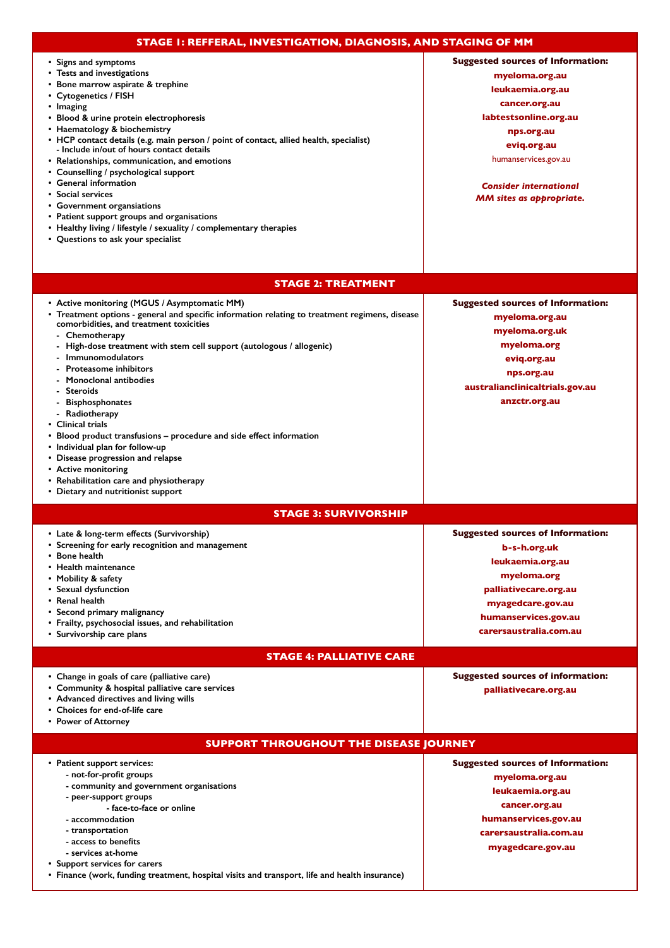| STAGE I: REFFERAL, INVESTIGATION, DIAGNOSIS, AND STAGING OF MM                                                                                                                                                                                                                                                                                                                                                                                                                                                                                                                                                                                                                                                            |                                                                                                                                                                                                                                                   |
|---------------------------------------------------------------------------------------------------------------------------------------------------------------------------------------------------------------------------------------------------------------------------------------------------------------------------------------------------------------------------------------------------------------------------------------------------------------------------------------------------------------------------------------------------------------------------------------------------------------------------------------------------------------------------------------------------------------------------|---------------------------------------------------------------------------------------------------------------------------------------------------------------------------------------------------------------------------------------------------|
| • Signs and symptoms<br>• Tests and investigations<br>• Bone marrow aspirate & trephine<br>• Cytogenetics / FISH<br>• Imaging<br>• Blood & urine protein electrophoresis<br>• Haematology & biochemistry<br>• HCP contact details (e.g. main person / point of contact, allied health, specialist)<br>- Include in/out of hours contact details<br>• Relationships, communication, and emotions<br>• Counselling / psychological support<br>• General information<br>• Social services<br>• Government organsiations<br>• Patient support groups and organisations<br>• Healthy living / lifestyle / sexuality / complementary therapies<br>• Questions to ask your specialist                                            | <b>Suggested sources of Information:</b><br>myeloma.org.au<br>leukaemia.org.au<br>cancer.org.au<br>labtestsonline.org.au<br>nps.org.au<br>eviq.org.au<br>humanservices.gov.au<br><b>Consider international</b><br><b>MM sites as appropriate.</b> |
| <b>STAGE 2: TREATMENT</b>                                                                                                                                                                                                                                                                                                                                                                                                                                                                                                                                                                                                                                                                                                 |                                                                                                                                                                                                                                                   |
| • Active monitoring (MGUS / Asymptomatic MM)<br>• Treatment options - general and specific information relating to treatment regimens, disease<br>comorbidities, and treatment toxicities<br>- Chemotherapy<br>High-dose treatment with stem cell support (autologous / allogenic)<br><b>Immunomodulators</b><br><b>Proteasome inhibitors</b><br><b>Monoclonal antibodies</b><br><b>Steroids</b><br><b>Bisphosphonates</b><br>- Radiotherapy<br>• Clinical trials<br>• Blood product transfusions – procedure and side effect information<br>• Individual plan for follow-up<br>• Disease progression and relapse<br>• Active monitoring<br>• Rehabilitation care and physiotherapy<br>• Dietary and nutritionist support | <b>Suggested sources of Information:</b><br>myeloma.org.au<br>myeloma.org.uk<br>myeloma.org<br>eviq.org.au<br>nps.org.au<br>australianclinicaltrials.gov.au<br>anzctr.org.au                                                                      |
|                                                                                                                                                                                                                                                                                                                                                                                                                                                                                                                                                                                                                                                                                                                           |                                                                                                                                                                                                                                                   |
| <b>STAGE 3: SURVIVORSHIP</b><br>• Late & long-term effects (Survivorship)<br>• Screening for early recognition and management<br>• Bone health<br>$\bullet\,$ Health maintenance<br>• Mobility & safety<br>• Sexual dysfunction<br>• Renal health<br>• Second primary malignancy<br>• Frailty, psychosocial issues, and rehabilitation<br>• Survivorship care plans                                                                                                                                                                                                                                                                                                                                                       | <b>Suggested sources of Information:</b><br>b-s-h.org.uk<br>leukaemia.org.au<br>myeloma.org<br>palliativecare.org.au<br>myagedcare.gov.au<br>humanservices.gov.au<br>carersaustralia.com.au                                                       |
| <b>STAGE 4: PALLIATIVE CARE</b>                                                                                                                                                                                                                                                                                                                                                                                                                                                                                                                                                                                                                                                                                           |                                                                                                                                                                                                                                                   |
| • Change in goals of care (palliative care)<br>• Community & hospital palliative care services<br>• Advanced directives and living wills<br>• Choices for end-of-life care<br>• Power of Attorney                                                                                                                                                                                                                                                                                                                                                                                                                                                                                                                         | <b>Suggested sources of information:</b><br>palliativecare.org.au                                                                                                                                                                                 |
| <b>SUPPORT THROUGHOUT THE DISEASE JOURNEY</b>                                                                                                                                                                                                                                                                                                                                                                                                                                                                                                                                                                                                                                                                             |                                                                                                                                                                                                                                                   |
| • Patient support services:<br>- not-for-profit groups<br>- community and government organisations<br>- peer-support groups<br>- face-to-face or online<br>- accommodation<br>- transportation<br>- access to benefits<br>- services at-home<br>• Support services for carers<br>• Finance (work, funding treatment, hospital visits and transport, life and health insurance)                                                                                                                                                                                                                                                                                                                                            | <b>Suggested sources of Information:</b><br>myeloma.org.au<br>leukaemia.org.au<br>cancer.org.au<br>humanservices.gov.au<br>carersaustralia.com.au<br>myagedcare.gov.au                                                                            |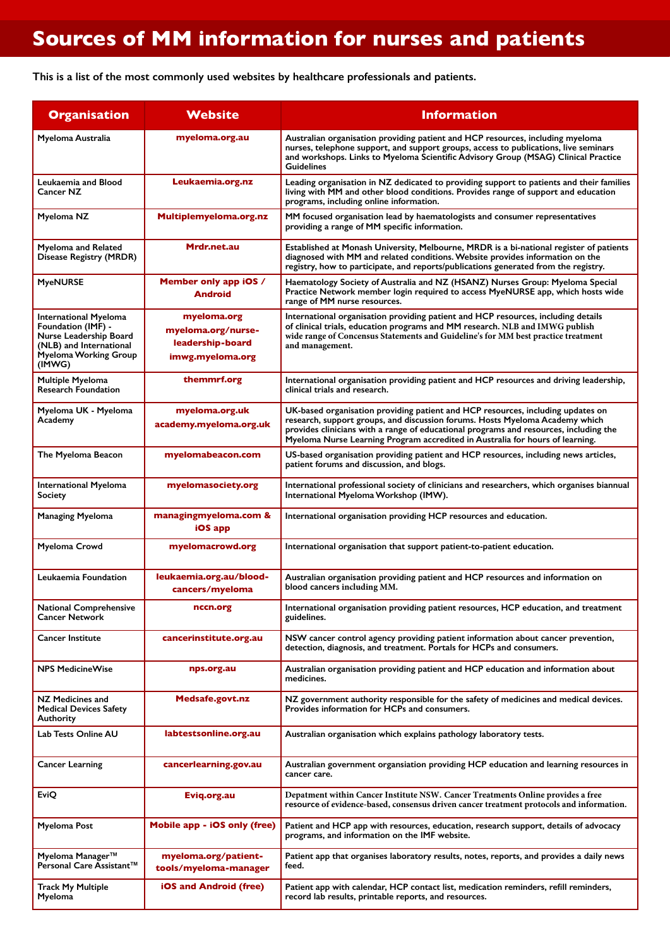## **Sources of MM information for nurses and patients**

**This is a list of the most commonly used websites by healthcare professionals and patients.**

| <b>Organisation</b>                                                                                                                               | Website                                                                   | <b>Information</b>                                                                                                                                                                                                                                                                                                                        |
|---------------------------------------------------------------------------------------------------------------------------------------------------|---------------------------------------------------------------------------|-------------------------------------------------------------------------------------------------------------------------------------------------------------------------------------------------------------------------------------------------------------------------------------------------------------------------------------------|
| Myeloma Australia                                                                                                                                 | myeloma.org.au                                                            | Australian organisation providing patient and HCP resources, including myeloma<br>nurses, telephone support, and support groups, access to publications, live seminars<br>and workshops. Links to Myeloma Scientific Advisory Group (MSAG) Clinical Practice<br>Guidelines                                                                |
| Leukaemia and Blood<br>Cancer NZ                                                                                                                  | Leukaemia.org.nz                                                          | Leading organisation in NZ dedicated to providing support to patients and their families<br>living with MM and other blood conditions. Provides range of support and education<br>programs, including online information.                                                                                                                 |
| Myeloma NZ                                                                                                                                        | Multiplemyeloma.org.nz                                                    | MM focused organisation lead by haematologists and consumer representatives<br>providing a range of MM specific information.                                                                                                                                                                                                              |
| <b>Myeloma and Related</b><br>Disease Registry (MRDR)                                                                                             | Mrdr.net.au                                                               | Established at Monash University, Melbourne, MRDR is a bi-national register of patients<br>diagnosed with MM and related conditions. Website provides information on the<br>registry, how to participate, and reports/publications generated from the registry.                                                                           |
| <b>MyeNURSE</b>                                                                                                                                   | Member only app iOS /<br>Android                                          | Haematology Society of Australia and NZ (HSANZ) Nurses Group: Myeloma Special<br>Practice Network member login required to access MyeNURSE app, which hosts wide<br>range of MM nurse resources.                                                                                                                                          |
| <b>International Myeloma</b><br>Foundation (IMF) -<br>Nurse Leadership Board<br>(NLB) and International<br><b>Myeloma Working Group</b><br>(IMWG) | myeloma.org<br>myeloma.org/nurse-<br>leadership-board<br>imwg.myeloma.org | International organisation providing patient and HCP resources, including details<br>of clinical trials, education programs and MM research. NLB and IMWG publish<br>wide range of Concensus Statements and Guideline's for MM best practice treatment<br>and management.                                                                 |
| Multiple Myeloma<br><b>Research Foundation</b>                                                                                                    | themmrf.org                                                               | International organisation providing patient and HCP resources and driving leadership,<br>clinical trials and research.                                                                                                                                                                                                                   |
| Myeloma UK - Myeloma<br>Academy                                                                                                                   | myeloma.org.uk<br>academy.myeloma.org.uk                                  | UK-based organisation providing patient and HCP resources, including updates on<br>research, support groups, and discussion forums. Hosts Myeloma Academy which<br>provides clinicians with a range of educational programs and resources, including the<br>Myeloma Nurse Learning Program accredited in Australia for hours of learning. |
| The Myeloma Beacon                                                                                                                                | myelomabeacon.com                                                         | US-based organisation providing patient and HCP resources, including news articles,<br>patient forums and discussion, and blogs.                                                                                                                                                                                                          |
| International Myeloma<br><b>Society</b>                                                                                                           | myelomasociety.org                                                        | International professional society of clinicians and researchers, which organises biannual<br>International Myeloma Workshop (IMW).                                                                                                                                                                                                       |
| <b>Managing Myeloma</b>                                                                                                                           | managingmyeloma.com &<br>iOS app                                          | International organisation providing HCP resources and education.                                                                                                                                                                                                                                                                         |
| Myeloma Crowd                                                                                                                                     | myelomacrowd.org                                                          | International organisation that support patient-to-patient education.                                                                                                                                                                                                                                                                     |
| Leukaemia Foundation                                                                                                                              | leukaemia.org.au/blood-<br>cancers/myeloma                                | Australian organisation providing patient and HCP resources and information on<br>blood cancers including MM.                                                                                                                                                                                                                             |
| <b>National Comprehensive</b><br><b>Cancer Network</b>                                                                                            | nccn.org                                                                  | International organisation providing patient resources, HCP education, and treatment<br>guidelines.                                                                                                                                                                                                                                       |
| Cancer Institute                                                                                                                                  | cancerinstitute.org.au                                                    | NSW cancer control agency providing patient information about cancer prevention,<br>detection, diagnosis, and treatment. Portals for HCPs and consumers.                                                                                                                                                                                  |
| <b>NPS MedicineWise</b>                                                                                                                           | nps.org.au                                                                | Australian organisation providing patient and HCP education and information about<br>medicines.                                                                                                                                                                                                                                           |
| NZ Medicines and<br><b>Medical Devices Safety</b><br>Authority                                                                                    | <b>Medsafe.govt.nz</b>                                                    | NZ government authority responsible for the safety of medicines and medical devices.<br>Provides information for HCPs and consumers.                                                                                                                                                                                                      |
| Lab Tests Online AU                                                                                                                               | labtestsonline.org.au                                                     | Australian organisation which explains pathology laboratory tests.                                                                                                                                                                                                                                                                        |
| <b>Cancer Learning</b>                                                                                                                            | cancerlearning.gov.au                                                     | Australian government organsiation providing HCP education and learning resources in<br>cancer care.                                                                                                                                                                                                                                      |
| EviQ                                                                                                                                              | Eviq.org.au                                                               | Depatment within Cancer Institute NSW. Cancer Treatments Online provides a free<br>resource of evidence-based, consensus driven cancer treatment protocols and information.                                                                                                                                                               |
| Myeloma Post                                                                                                                                      | <b>Mobile app - iOS only (free)</b>                                       | Patient and HCP app with resources, education, research support, details of advocacy<br>programs, and information on the IMF website.                                                                                                                                                                                                     |
| Myeloma Manager™<br>Personal Care Assistant™                                                                                                      | myeloma.org/patient-<br>tools/myeloma-manager                             | Patient app that organises laboratory results, notes, reports, and provides a daily news<br>feed.                                                                                                                                                                                                                                         |
| Track My Multiple<br>Myeloma                                                                                                                      | iOS and Android (free)                                                    | Patient app with calendar, HCP contact list, medication reminders, refill reminders,<br>record lab results, printable reports, and resources.                                                                                                                                                                                             |